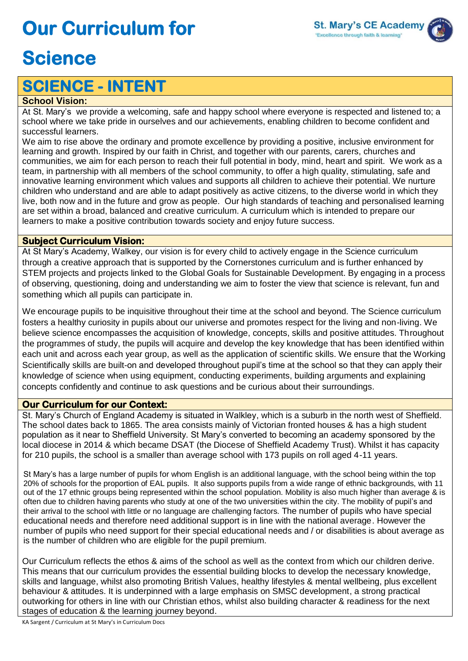# **Our Curriculum for**



## **Science**

### **SCIENCE - INTENT**

#### **School Vision:**

At St. Mary's we provide a welcoming, safe and happy school where everyone is respected and listened to; a school where we take pride in ourselves and our achievements, enabling children to become confident and successful learners.

We aim to rise above the ordinary and promote excellence by providing a positive, inclusive environment for learning and growth. Inspired by our faith in Christ, and together with our parents, carers, churches and communities, we aim for each person to reach their full potential in body, mind, heart and spirit. We work as a team, in partnership with all members of the school community, to offer a high quality, stimulating, safe and innovative learning environment which values and supports all children to achieve their potential. We nurture children who understand and are able to adapt positively as active citizens, to the diverse world in which they live, both now and in the future and grow as people. Our high standards of teaching and personalised learning are set within a broad, balanced and creative curriculum. A curriculum which is intended to prepare our learners to make a positive contribution towards society and enjoy future success.

#### **Subject Curriculum Vision:**

At St Mary's Academy, Walkey, our vision is for every child to actively engage in the Science curriculum through a creative approach that is supported by the Cornerstones curriculum and is further enhanced by STEM projects and projects linked to the Global Goals for Sustainable Development. By engaging in a process of observing, questioning, doing and understanding we aim to foster the view that science is relevant, fun and something which all pupils can participate in.

We encourage pupils to be inquisitive throughout their time at the school and beyond. The Science curriculum fosters a healthy curiosity in pupils about our universe and promotes respect for the living and non-living. We believe science encompasses the acquisition of knowledge, concepts, skills and positive attitudes. Throughout the programmes of study, the pupils will acquire and develop the key knowledge that has been identified within each unit and across each year group, as well as the application of scientific skills. We ensure that the Working Scientifically skills are built-on and developed throughout pupil's time at the school so that they can apply their knowledge of science when using equipment, conducting experiments, building arguments and explaining concepts confidently and continue to ask questions and be curious about their surroundings.

#### **Our Curriculum for our Context:**

St. Mary's Church of England Academy is situated in Walkley, which is a suburb in the north west of Sheffield. The school dates back to 1865. The area consists mainly of Victorian fronted houses & has a high student population as it near to Sheffield University. St Mary's converted to becoming an academy sponsored by the local diocese in 2014 & which became DSAT (the Diocese of Sheffield Academy Trust). Whilst it has capacity for 210 pupils, the school is a smaller than average school with 173 pupils on roll aged 4-11 years.

St Mary's has a large number of pupils for whom English is an additional language, with the school being within the top 20% of schools for the proportion of EAL pupils. It also supports pupils from a wide range of ethnic backgrounds, with 11 out of the 17 ethnic groups being represented within the school population. Mobility is also much higher than average & is often due to children having parents who study at one of the two universities within the city. The mobility of pupil's and their arrival to the school with little or no language are challenging factors. The number of pupils who have special educational needs and therefore need additional support is in line with the national average. However the number of pupils who need support for their special educational needs and / or disabilities is about average as is the number of children who are eligible for the pupil premium.

Our Curriculum reflects the ethos & aims of the school as well as the context from which our children derive. This means that our curriculum provides the essential building blocks to develop the necessary knowledge, skills and language, whilst also promoting British Values, healthy lifestyles & mental wellbeing, plus excellent behaviour & attitudes. It is underpinned with a large emphasis on SMSC development, a strong practical outworking for others in line with our Christian ethos, whilst also building character & readiness for the next stages of education & the learning journey beyond.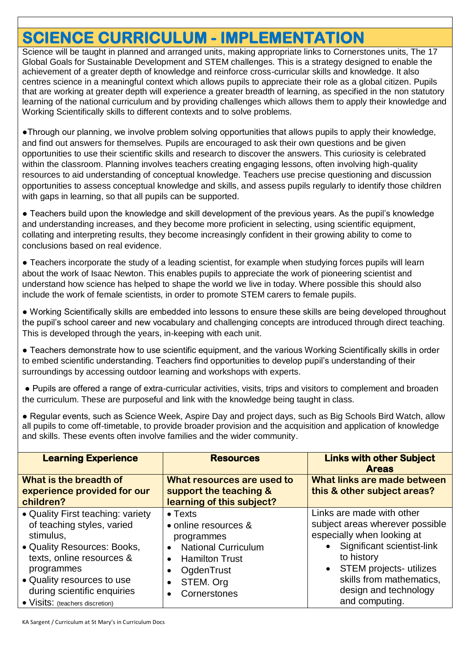### **SCIENCE CURRICULUM - IMPLEMENTATION**

Science will be taught in planned and arranged units, making appropriate links to Cornerstones units, The 17 Global Goals for Sustainable Development and STEM challenges. This is a strategy designed to enable the achievement of a greater depth of knowledge and reinforce cross-curricular skills and knowledge. It also centres science in a meaningful context which allows pupils to appreciate their role as a global citizen. Pupils that are working at greater depth will experience a greater breadth of learning, as specified in the non statutory learning of the national curriculum and by providing challenges which allows them to apply their knowledge and Working Scientifically skills to different contexts and to solve problems.

●Through our planning, we involve problem solving opportunities that allows pupils to apply their knowledge, and find out answers for themselves. Pupils are encouraged to ask their own questions and be given opportunities to use their scientific skills and research to discover the answers. This curiosity is celebrated within the classroom. Planning involves teachers creating engaging lessons, often involving high-quality resources to aid understanding of conceptual knowledge. Teachers use precise questioning and discussion opportunities to assess conceptual knowledge and skills, and assess pupils regularly to identify those children with gaps in learning, so that all pupils can be supported.

● Teachers build upon the knowledge and skill development of the previous years. As the pupil's knowledge and understanding increases, and they become more proficient in selecting, using scientific equipment, collating and interpreting results, they become increasingly confident in their growing ability to come to conclusions based on real evidence.

● Teachers incorporate the study of a leading scientist, for example when studying forces pupils will learn about the work of Isaac Newton. This enables pupils to appreciate the work of pioneering scientist and understand how science has helped to shape the world we live in today. Where possible this should also include the work of female scientists, in order to promote STEM carers to female pupils.

● Working Scientifically skills are embedded into lessons to ensure these skills are being developed throughout the pupil's school career and new vocabulary and challenging concepts are introduced through direct teaching. This is developed through the years, in-keeping with each unit.

● Teachers demonstrate how to use scientific equipment, and the various Working Scientifically skills in order to embed scientific understanding. Teachers find opportunities to develop pupil's understanding of their surroundings by accessing outdoor learning and workshops with experts.

● Pupils are offered a range of extra-curricular activities, visits, trips and visitors to complement and broaden the curriculum. These are purposeful and link with the knowledge being taught in class.

● Regular events, such as Science Week, Aspire Day and project days, such as Big Schools Bird Watch, allow all pupils to come off-timetable, to provide broader provision and the acquisition and application of knowledge and skills. These events often involve families and the wider community.

| <b>Learning Experience</b>                                                                                                                                                                                                                             | <b>Resources</b>                                                                                                                                                                               | <b>Links with other Subject</b><br><b>Areas</b>                                                                                                                                                                                                                           |  |
|--------------------------------------------------------------------------------------------------------------------------------------------------------------------------------------------------------------------------------------------------------|------------------------------------------------------------------------------------------------------------------------------------------------------------------------------------------------|---------------------------------------------------------------------------------------------------------------------------------------------------------------------------------------------------------------------------------------------------------------------------|--|
| What is the breadth of<br>experience provided for our<br>children?                                                                                                                                                                                     | What resources are used to<br>support the teaching &<br>learning of this subject?                                                                                                              | What links are made between<br>this & other subject areas?                                                                                                                                                                                                                |  |
| • Quality First teaching: variety<br>of teaching styles, varied<br>stimulus,<br>• Quality Resources: Books,<br>texts, online resources &<br>programmes<br>• Quality resources to use<br>during scientific enquiries<br>• Visits: (teachers discretion) | $\bullet$ Texts<br>• online resources &<br>programmes<br><b>National Curriculum</b><br><b>Hamilton Trust</b><br>$\bullet$<br>OgdenTrust<br>STEM. Org<br>$\bullet$<br>Cornerstones<br>$\bullet$ | Links are made with other<br>subject areas wherever possible<br>especially when looking at<br>Significant scientist-link<br>$\bullet$<br>to history<br><b>STEM projects- utilizes</b><br>$\bullet$<br>skills from mathematics,<br>design and technology<br>and computing. |  |

KA Sargent / Curriculum at St Mary's in Curriculum Docs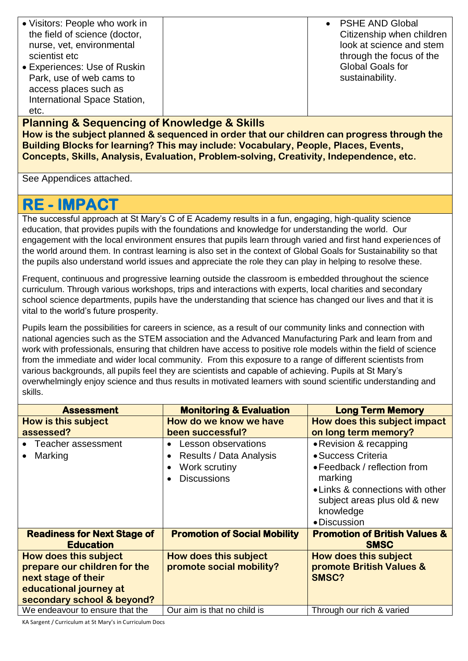| • Visitors: People who work in<br>the field of science (doctor,<br>nurse, vet, environmental<br>scientist etc<br>• Experiences: Use of Ruskin<br>Park, use of web cams to<br>access places such as<br>International Space Station, | • PSHE AND Global<br>Citizenship when children<br>look at science and stem<br>through the focus of the<br><b>Global Goals for</b><br>sustainability. |
|------------------------------------------------------------------------------------------------------------------------------------------------------------------------------------------------------------------------------------|------------------------------------------------------------------------------------------------------------------------------------------------------|
| etc.                                                                                                                                                                                                                               |                                                                                                                                                      |

**Planning & Sequencing of Knowledge & Skills How is the subject planned & sequenced in order that our children can progress through the Building Blocks for learning? This may include: Vocabulary, People, Places, Events, Concepts, Skills, Analysis, Evaluation, Problem-solving, Creativity, Independence, etc.** 

See Appendices attached.

### **RE - IMPACT**

The successful approach at St Mary's C of E Academy results in a fun, engaging, high-quality science education, that provides pupils with the foundations and knowledge for understanding the world. Our engagement with the local environment ensures that pupils learn through varied and first hand experiences of the world around them. In contrast learning is also set in the context of Global Goals for Sustainability so that the pupils also understand world issues and appreciate the role they can play in helping to resolve these.

Frequent, continuous and progressive learning outside the classroom is embedded throughout the science curriculum. Through various workshops, trips and interactions with experts, local charities and secondary school science departments, pupils have the understanding that science has changed our lives and that it is vital to the world's future prosperity.

Pupils learn the possibilities for careers in science, as a result of our community links and connection with national agencies such as the STEM association and the Advanced Manufacturing Park and learn from and work with professionals, ensuring that children have access to positive role models within the field of science from the immediate and wider local community. From this exposure to a range of different scientists from various backgrounds, all pupils feel they are scientists and capable of achieving. Pupils at St Mary's overwhelmingly enjoy science and thus results in motivated learners with sound scientific understanding and skills.

| <b>Assessment</b>                  | <b>Monitoring &amp; Evaluation</b>  | <b>Long Term Memory</b>                  |
|------------------------------------|-------------------------------------|------------------------------------------|
| How is this subject                | How do we know we have              | How does this subject impact             |
| assessed?                          | been successful?                    | on long term memory?                     |
| Teacher assessment                 | Lesson observations                 | • Revision & recapping                   |
| Marking                            | Results / Data Analysis             | • Success Criteria                       |
|                                    | Work scrutiny                       | • Feedback / reflection from             |
|                                    | <b>Discussions</b>                  | marking                                  |
|                                    |                                     | • Links & connections with other         |
|                                    |                                     | subject areas plus old & new             |
|                                    |                                     | knowledge                                |
|                                    |                                     | • Discussion                             |
| <b>Readiness for Next Stage of</b> | <b>Promotion of Social Mobility</b> | <b>Promotion of British Values &amp;</b> |
| <b>Education</b>                   |                                     | <b>SMSC</b>                              |
| <b>How does this subject</b>       | <b>How does this subject</b>        | How does this subject                    |
| prepare our children for the       | promote social mobility?            | promote British Values &                 |
| next stage of their                |                                     | SMSC?                                    |
| educational journey at             |                                     |                                          |
| secondary school & beyond?         |                                     |                                          |
| We endeavour to ensure that the    | Our aim is that no child is         | Through our rich & varied                |

KA Sargent / Curriculum at St Mary's in Curriculum Docs